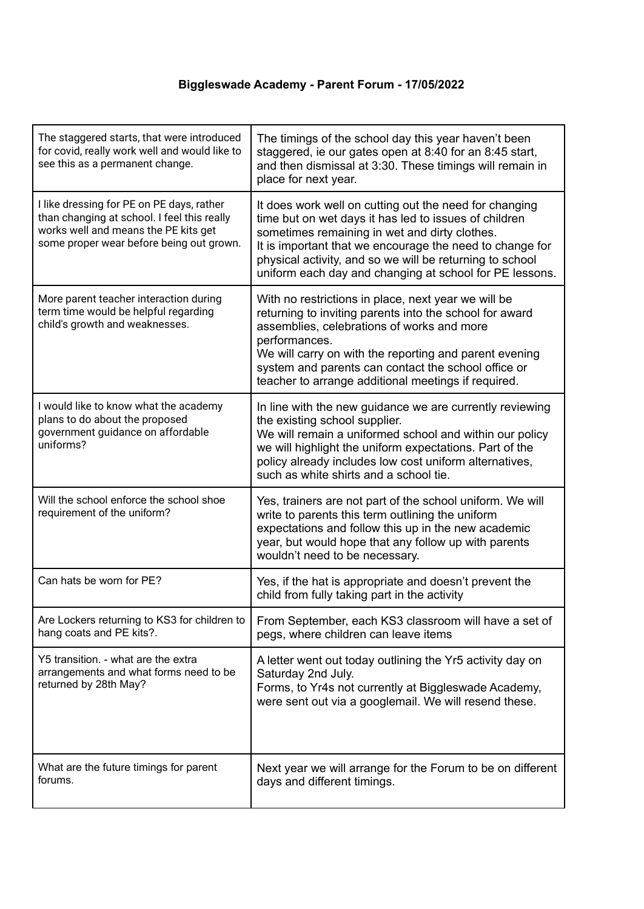## **Biggleswade Academy - Parent Forum - 17/05/2022**

| The staggered starts, that were introduced<br>for covid, really work well and would like to<br>see this as a permanent change.                                               | The timings of the school day this year haven't been<br>staggered, ie our gates open at 8:40 for an 8:45 start,<br>and then dismissal at 3:30. These timings will remain in<br>place for next year.                                                                                                                                                   |
|------------------------------------------------------------------------------------------------------------------------------------------------------------------------------|-------------------------------------------------------------------------------------------------------------------------------------------------------------------------------------------------------------------------------------------------------------------------------------------------------------------------------------------------------|
| I like dressing for PE on PE days, rather<br>than changing at school. I feel this really<br>works well and means the PE kits get<br>some proper wear before being out grown. | It does work well on cutting out the need for changing<br>time but on wet days it has led to issues of children<br>sometimes remaining in wet and dirty clothes.<br>It is important that we encourage the need to change for<br>physical activity, and so we will be returning to school<br>uniform each day and changing at school for PE lessons.   |
| More parent teacher interaction during<br>term time would be helpful regarding<br>child's growth and weaknesses.                                                             | With no restrictions in place, next year we will be<br>returning to inviting parents into the school for award<br>assemblies, celebrations of works and more<br>performances.<br>We will carry on with the reporting and parent evening<br>system and parents can contact the school office or<br>teacher to arrange additional meetings if required. |
| I would like to know what the academy<br>plans to do about the proposed<br>government guidance on affordable<br>uniforms?                                                    | In line with the new guidance we are currently reviewing<br>the existing school supplier.<br>We will remain a uniformed school and within our policy<br>we will highlight the uniform expectations. Part of the<br>policy already includes low cost uniform alternatives,<br>such as white shirts and a school tie.                                   |
| Will the school enforce the school shoe<br>requirement of the uniform?                                                                                                       | Yes, trainers are not part of the school uniform. We will<br>write to parents this term outlining the uniform<br>expectations and follow this up in the new academic<br>year, but would hope that any follow up with parents<br>wouldn't need to be necessary.                                                                                        |
| Can hats be worn for PE?                                                                                                                                                     | Yes, if the hat is appropriate and doesn't prevent the<br>child from fully taking part in the activity                                                                                                                                                                                                                                                |
| Are Lockers returning to KS3 for children to<br>hang coats and PE kits?.                                                                                                     | From September, each KS3 classroom will have a set of<br>pegs, where children can leave items                                                                                                                                                                                                                                                         |
| Y5 transition. - what are the extra<br>arrangements and what forms need to be<br>returned by 28th May?                                                                       | A letter went out today outlining the Yr5 activity day on<br>Saturday 2nd July.<br>Forms, to Yr4s not currently at Biggleswade Academy,<br>were sent out via a googlemail. We will resend these.                                                                                                                                                      |
| What are the future timings for parent<br>forums.                                                                                                                            | Next year we will arrange for the Forum to be on different<br>days and different timings.                                                                                                                                                                                                                                                             |